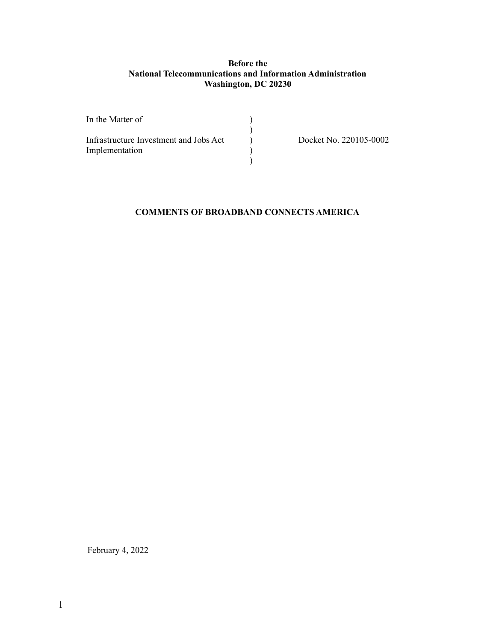### **Before the National Telecommunications and Information Administration Washington, DC 20230**

| In the Matter of                       |                        |
|----------------------------------------|------------------------|
| Infrastructure Investment and Jobs Act | Docket No. 220105-0002 |
| Implementation                         |                        |
|                                        |                        |

### **COMMENTS OF BROADBAND CONNECTS AMERICA**

February 4, 2022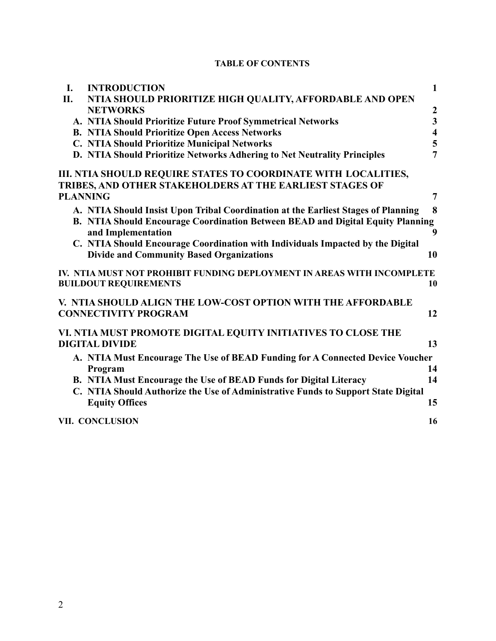# **TABLE OF CONTENTS**

| I.  | <b>INTRODUCTION</b>                                                               | $\mathbf{1}$            |
|-----|-----------------------------------------------------------------------------------|-------------------------|
| II. | NTIA SHOULD PRIORITIZE HIGH QUALITY, AFFORDABLE AND OPEN                          |                         |
|     | <b>NETWORKS</b>                                                                   |                         |
|     | A. NTIA Should Prioritize Future Proof Symmetrical Networks                       | $\frac{2}{3}$           |
|     | <b>B. NTIA Should Prioritize Open Access Networks</b>                             | $\overline{\mathbf{4}}$ |
|     | C. NTIA Should Prioritize Municipal Networks                                      | $rac{5}{7}$             |
|     | D. NTIA Should Prioritize Networks Adhering to Net Neutrality Principles          |                         |
|     | III. NTIA SHOULD REQUIRE STATES TO COORDINATE WITH LOCALITIES,                    |                         |
|     | TRIBES, AND OTHER STAKEHOLDERS AT THE EARLIEST STAGES OF                          |                         |
|     | <b>PLANNING</b>                                                                   | $\overline{7}$          |
|     | A. NTIA Should Insist Upon Tribal Coordination at the Earliest Stages of Planning | 8                       |
|     | B. NTIA Should Encourage Coordination Between BEAD and Digital Equity Planning    |                         |
|     | and Implementation                                                                | $\boldsymbol{9}$        |
|     | C. NTIA Should Encourage Coordination with Individuals Impacted by the Digital    |                         |
|     | <b>Divide and Community Based Organizations</b>                                   | 10                      |
|     | IV. NTIA MUST NOT PROHIBIT FUNDING DEPLOYMENT IN AREAS WITH INCOMPLETE            |                         |
|     | <b>BUILDOUT REQUIREMENTS</b>                                                      | 10                      |
|     | V. NTIA SHOULD ALIGN THE LOW-COST OPTION WITH THE AFFORDABLE                      |                         |
|     | <b>CONNECTIVITY PROGRAM</b>                                                       | 12                      |
|     | VI. NTIA MUST PROMOTE DIGITAL EQUITY INITIATIVES TO CLOSE THE                     |                         |
|     | <b>DIGITAL DIVIDE</b>                                                             | 13                      |
|     | A. NTIA Must Encourage The Use of BEAD Funding for A Connected Device Voucher     |                         |
|     | Program                                                                           | 14                      |
|     | B. NTIA Must Encourage the Use of BEAD Funds for Digital Literacy                 | 14                      |
|     | C. NTIA Should Authorize the Use of Administrative Funds to Support State Digital |                         |
|     | <b>Equity Offices</b>                                                             | 15                      |
|     | <b>VII. CONCLUSION</b>                                                            | 16                      |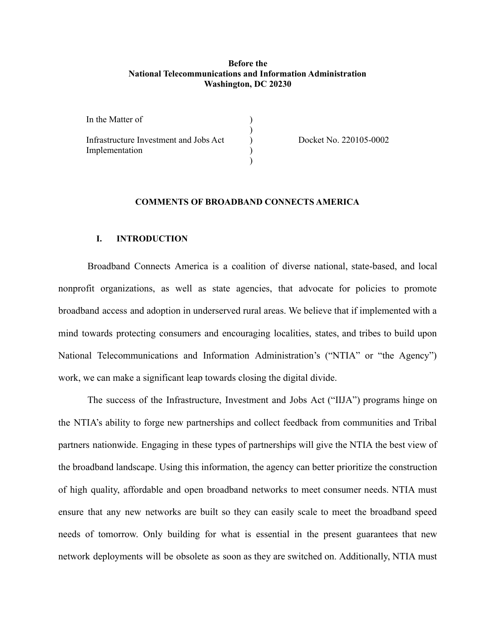#### **Before the National Telecommunications and Information Administration Washington, DC 20230**

| In the Matter of                       |                        |
|----------------------------------------|------------------------|
| Infrastructure Investment and Jobs Act | Docket No. 220105-0002 |
| Implementation                         |                        |
|                                        |                        |

#### **COMMENTS OF BROADBAND CONNECTS AMERICA**

#### <span id="page-2-0"></span>**I. INTRODUCTION**

Broadband Connects America is a coalition of diverse national, state-based, and local nonprofit organizations, as well as state agencies, that advocate for policies to promote broadband access and adoption in underserved rural areas. We believe that if implemented with a mind towards protecting consumers and encouraging localities, states, and tribes to build upon National Telecommunications and Information Administration's ("NTIA" or "the Agency") work, we can make a significant leap towards closing the digital divide.

The success of the Infrastructure, Investment and Jobs Act ("IIJA") programs hinge on the NTIA's ability to forge new partnerships and collect feedback from communities and Tribal partners nationwide. Engaging in these types of partnerships will give the NTIA the best view of the broadband landscape. Using this information, the agency can better prioritize the construction of high quality, affordable and open broadband networks to meet consumer needs. NTIA must ensure that any new networks are built so they can easily scale to meet the broadband speed needs of tomorrow. Only building for what is essential in the present guarantees that new network deployments will be obsolete as soon as they are switched on. Additionally, NTIA must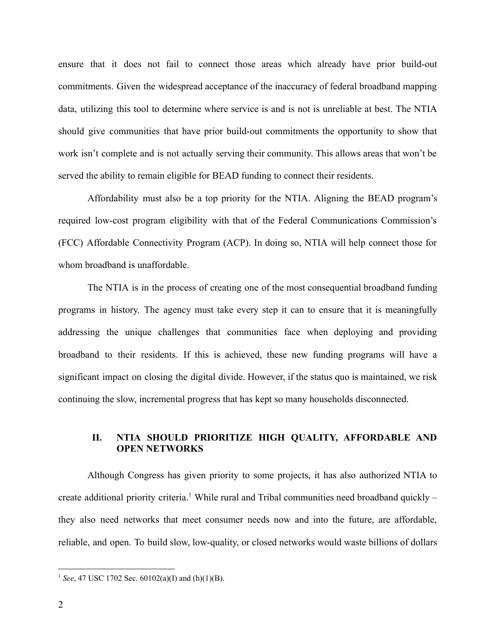ensure that it does not fail to connect those areas which already have prior build-out commitments. Given the widespread acceptance of the inaccuracy of federal broadband mapping data, utilizing this tool to determine where service is and is not is unreliable at best. The NTIA should give communities that have prior build-out commitments the opportunity to show that work isn't complete and is not actually serving their community. This allows areas that won't be served the ability to remain eligible for BEAD funding to connect their residents.

Affordability must also be a top priority for the NTIA. Aligning the BEAD program's required low-cost program eligibility with that of the Federal Communications Commission's (FCC) Affordable Connectivity Program (ACP). In doing so, NTIA will help connect those for whom broadband is unaffordable.

The NTIA is in the process of creating one of the most consequential broadband funding programs in history. The agency must take every step it can to ensure that it is meaningfully addressing the unique challenges that communities face when deploying and providing broadband to their residents. If this is achieved, these new funding programs will have a significant impact on closing the digital divide. However, if the status quo is maintained, we risk continuing the slow, incremental progress that has kept so many households disconnected.

# **II. NTIA SHOULD PRIORITIZE HIGH QUALITY, AFFORDABLE AND OPEN NETWORKS**

<span id="page-3-0"></span>Although Congress has given priority to some projects, it has also authorized NTIA to create additional priority criteria.<sup>1</sup> While rural and Tribal communities need broadband quickly – they also need networks that meet consumer needs now and into the future, are affordable, reliable, and open. To build slow, low-quality, or closed networks would waste billions of dollars

<sup>1</sup> *See*, 47 USC 1702 Sec. 60102(a)(I) and (h)(1)(B).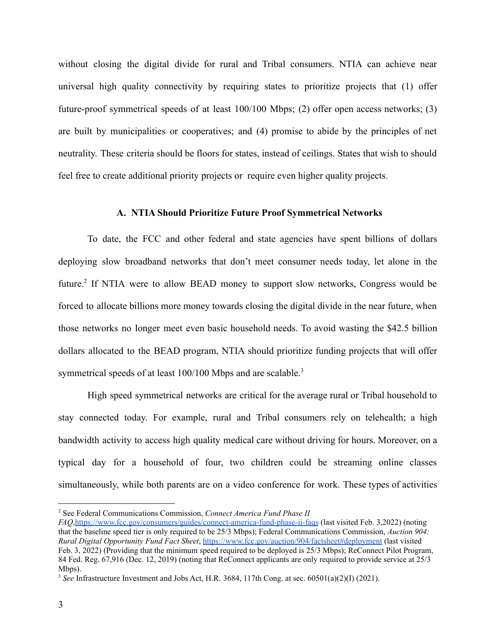without closing the digital divide for rural and Tribal consumers. NTIA can achieve near universal high quality connectivity by requiring states to prioritize projects that (1) offer future-proof symmetrical speeds of at least 100/100 Mbps; (2) offer open access networks; (3) are built by municipalities or cooperatives; and (4) promise to abide by the principles of net neutrality. These criteria should be floors for states, instead of ceilings. States that wish to should feel free to create additional priority projects or require even higher quality projects.

#### **A. NTIA Should Prioritize Future Proof Symmetrical Networks**

<span id="page-4-0"></span>To date, the FCC and other federal and state agencies have spent billions of dollars deploying slow broadband networks that don't meet consumer needs today, let alone in the future.<sup>2</sup> If NTIA were to allow BEAD money to support slow networks, Congress would be forced to allocate billions more money towards closing the digital divide in the near future, when those networks no longer meet even basic household needs. To avoid wasting the \$42.5 billion dollars allocated to the BEAD program, NTIA should prioritize funding projects that will offer symmetrical speeds of at least 100/100 Mbps and are scalable.<sup>3</sup>

High speed symmetrical networks are critical for the average rural or Tribal household to stay connected today. For example, rural and Tribal consumers rely on telehealth; a high bandwidth activity to access high quality medical care without driving for hours. Moreover, on a typical day for a household of four, two children could be streaming online classes simultaneously, while both parents are on a video conference for work. These types of activities

<sup>2</sup> See Federal Communications Commission, *Connect America Fund Phase II*

*FAQ*,<https://www.fcc.gov/consumers/guides/connect-america-fund-phase-ii-faqs> (last visited Feb. 3,2022) (noting that the baseline speed tier is only required to be 25/3 Mbps); Federal Communications Commission, *Auction 904: Rural Digital Opportunity Fund Fact Sheet*, <https://www.fcc.gov/auction/904/factsheet#deployment> (last visited Feb. 3, 2022) (Providing that the minimum speed required to be deployed is 25/3 Mbps); ReConnect Pilot Program, 84 Fed. Reg. 67,916 (Dec. 12, 2019) (noting that ReConnect applicants are only required to provide service at 25/3 Mbps).

<sup>3</sup> *See* Infrastructure Investment and Jobs Act, H.R. 3684, 117th Cong. at sec. 60501(a)(2)(I) (2021).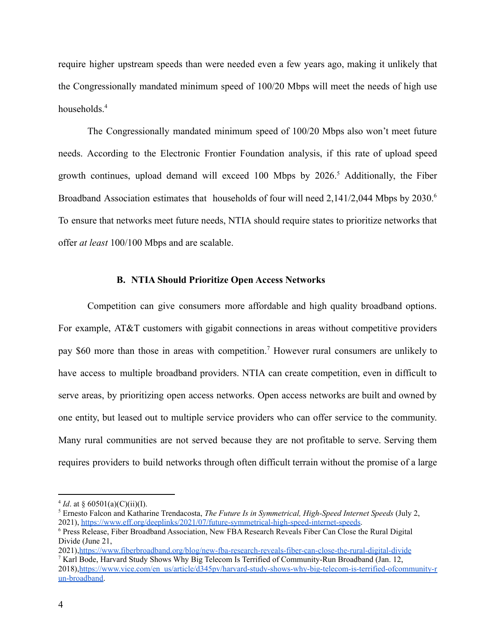require higher upstream speeds than were needed even a few years ago, making it unlikely that the Congressionally mandated minimum speed of 100/20 Mbps will meet the needs of high use households.<sup>4</sup>

The Congressionally mandated minimum speed of 100/20 Mbps also won't meet future needs. According to the Electronic Frontier Foundation analysis, if this rate of upload speed growth continues, upload demand will exceed 100 Mbps by  $2026$ <sup>5</sup> Additionally, the Fiber Broadband Association estimates that households of four will need 2,141/2,044 Mbps by 2030.<sup>6</sup> To ensure that networks meet future needs, NTIA should require states to prioritize networks that offer *at least* 100/100 Mbps and are scalable.

#### **B. NTIA Should Prioritize Open Access Networks**

<span id="page-5-0"></span>Competition can give consumers more affordable and high quality broadband options. For example, AT&T customers with gigabit connections in areas without competitive providers pay \$60 more than those in areas with competition.<sup>7</sup> However rural consumers are unlikely to have access to multiple broadband providers. NTIA can create competition, even in difficult to serve areas, by prioritizing open access networks. Open access networks are built and owned by one entity, but leased out to multiple service providers who can offer service to the community. Many rural communities are not served because they are not profitable to serve. Serving them requires providers to build networks through often difficult terrain without the promise of a large

<sup>&</sup>lt;sup>4</sup> *Id*. at § 60501(a)(C)(ii)(I).

<sup>5</sup> Ernesto Falcon and Katharine Trendacosta, *The Future Is in Symmetrical, High-Speed Internet Speeds* (July 2, 2021), <https://www.eff.org/deeplinks/2021/07/future-symmetrical-high-speed-internet-speeds>.

<sup>6</sup> Press Release, Fiber Broadband Association, New FBA Research Reveals Fiber Can Close the Rural Digital Divide (June 21,

<sup>7</sup> Karl Bode, Harvard Study Shows Why Big Telecom Is Terrified of Community-Run Broadband (Jan. 12, 2018),[https://www.vice.com/en\\_us/article/d345pv/harvard-study-shows-why-big-telecom-is-terrified-ofcommunity-r](https://www.vice.com/en_us/article/d345pv/harvard-study-shows-why-big-telecom-is-terrified-ofcommunity-run-broadband) [un-broadband.](https://www.vice.com/en_us/article/d345pv/harvard-study-shows-why-big-telecom-is-terrified-ofcommunity-run-broadband) 2021),<https://www.fiberbroadband.org/blog/new-fba-research-reveals-fiber-can-close-the-rural-digital-divide>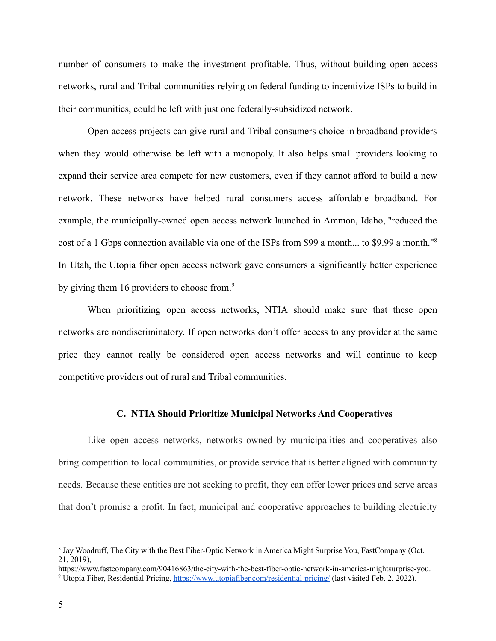number of consumers to make the investment profitable. Thus, without building open access networks, rural and Tribal communities relying on federal funding to incentivize ISPs to build in their communities, could be left with just one federally-subsidized network.

Open access projects can give rural and Tribal consumers choice in broadband providers when they would otherwise be left with a monopoly. It also helps small providers looking to expand their service area compete for new customers, even if they cannot afford to build a new network. These networks have helped rural consumers access affordable broadband. For example, the municipally-owned open access network launched in Ammon, Idaho, "reduced the cost of a 1 Gbps connection available via one of the ISPs from \$99 a month... to \$9.99 a month."<sup>8</sup> In Utah, the Utopia fiber open access network gave consumers a significantly better experience by giving them 16 providers to choose from.<sup>9</sup>

When prioritizing open access networks, NTIA should make sure that these open networks are nondiscriminatory. If open networks don't offer access to any provider at the same price they cannot really be considered open access networks and will continue to keep competitive providers out of rural and Tribal communities.

#### **C. NTIA Should Prioritize Municipal Networks And Cooperatives**

<span id="page-6-0"></span>Like open access networks, networks owned by municipalities and cooperatives also bring competition to local communities, or provide service that is better aligned with community needs. Because these entities are not seeking to profit, they can offer lower prices and serve areas that don't promise a profit. In fact, municipal and cooperative approaches to building electricity

<sup>&</sup>lt;sup>8</sup> Jay Woodruff, The City with the Best Fiber-Optic Network in America Might Surprise You, FastCompany (Oct. 21, 2019),

<sup>9</sup> Utopia Fiber, Residential Pricing, <https://www.utopiafiber.com/residential-pricing/> (last visited Feb. 2, 2022). https://www.fastcompany.com/90416863/the-city-with-the-best-fiber-optic-network-in-america-mightsurprise-you.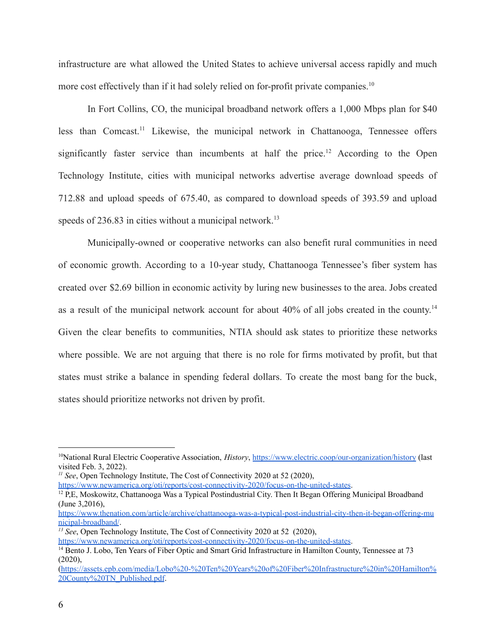infrastructure are what allowed the United States to achieve universal access rapidly and much more cost effectively than if it had solely relied on for-profit private companies.<sup>10</sup>

In Fort Collins, CO, the municipal broadband network offers a 1,000 Mbps plan for \$40 less than Comcast.<sup>11</sup> Likewise, the municipal network in Chattanooga, Tennessee offers significantly faster service than incumbents at half the price.<sup>12</sup> According to the Open Technology Institute, cities with municipal networks advertise average download speeds of 712.88 and upload speeds of 675.40, as compared to download speeds of 393.59 and upload speeds of  $236.83$  in cities without a municipal network.<sup>13</sup>

Municipally-owned or cooperative networks can also benefit rural communities in need of economic growth. According to a 10-year study, Chattanooga Tennessee's fiber system has created over \$2.69 billion in economic activity by luring new businesses to the area. Jobs created as a result of the municipal network account for about 40% of all jobs created in the county.<sup>14</sup> Given the clear benefits to communities, NTIA should ask states to prioritize these networks where possible. We are not arguing that there is no role for firms motivated by profit, but that states must strike a balance in spending federal dollars. To create the most bang for the buck, states should prioritize networks not driven by profit.

*<sup>11</sup> See*, Open Technology Institute, The Cost of Connectivity 2020 at 52 (2020),

<https://www.newamerica.org/oti/reports/cost-connectivity-2020/focus-on-the-united-states>.

[https://www.thenation.com/article/archive/chattanooga-was-a-typical-post-industrial-city-then-it-began-offering-mu](https://www.thenation.com/article/archive/chattanooga-was-a-typical-post-industrial-city-then-it-began-offering-municipal-broadband/) [nicipal-broadband/](https://www.thenation.com/article/archive/chattanooga-was-a-typical-post-industrial-city-then-it-began-offering-municipal-broadband/).

<sup>10</sup>National Rural Electric Cooperative Association, *History*, <https://www.electric.coop/our-organization/history> (last visited Feb. 3, 2022).

<sup>&</sup>lt;sup>12</sup> P,E, Moskowitz, Chattanooga Was a Typical Postindustrial City. Then It Began Offering Municipal Broadband (June 3,2016),

*<sup>13</sup> See*, Open Technology Institute, The Cost of Connectivity 2020 at 52 (2020),

<https://www.newamerica.org/oti/reports/cost-connectivity-2020/focus-on-the-united-states>.

<sup>&</sup>lt;sup>14</sup> Bento J. Lobo, Ten Years of Fiber Optic and Smart Grid Infrastructure in Hamilton County, Tennessee at 73  $(2020)$ .

[<sup>\(</sup>https://assets.epb.com/media/Lobo%20-%20Ten%20Years%20of%20Fiber%20Infrastructure%20in%20Hamilton%](https://assets.epb.com/media/Lobo%20-%20Ten%20Years%20of%20Fiber%20Infrastructure%20in%20Hamilton%20County%20TN_Published.pdf) [20County%20TN\\_Published.pdf](https://assets.epb.com/media/Lobo%20-%20Ten%20Years%20of%20Fiber%20Infrastructure%20in%20Hamilton%20County%20TN_Published.pdf).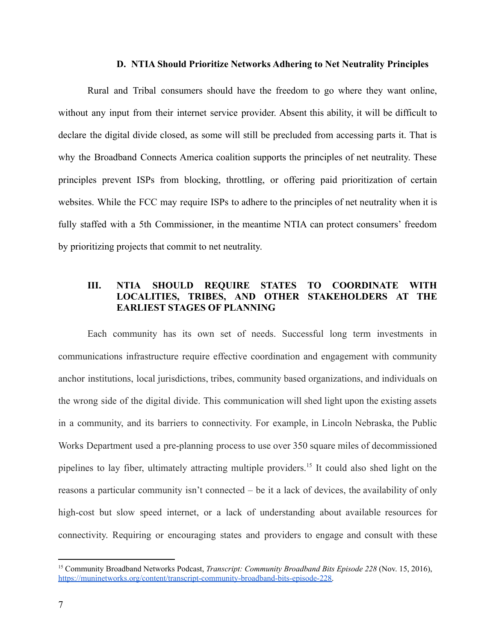#### **D. NTIA Should Prioritize Networks Adhering to Net Neutrality Principles**

<span id="page-8-0"></span>Rural and Tribal consumers should have the freedom to go where they want online, without any input from their internet service provider. Absent this ability, it will be difficult to declare the digital divide closed, as some will still be precluded from accessing parts it. That is why the Broadband Connects America coalition supports the principles of net neutrality. These principles prevent ISPs from blocking, throttling, or offering paid prioritization of certain websites. While the FCC may require ISPs to adhere to the principles of net neutrality when it is fully staffed with a 5th Commissioner, in the meantime NTIA can protect consumers' freedom by prioritizing projects that commit to net neutrality.

# **III. NTIA SHOULD REQUIRE STATES TO COORDINATE WITH LOCALITIES, TRIBES, AND OTHER STAKEHOLDERS AT THE EARLIEST STAGES OF PLANNING**

<span id="page-8-1"></span>Each community has its own set of needs. Successful long term investments in communications infrastructure require effective coordination and engagement with community anchor institutions, local jurisdictions, tribes, community based organizations, and individuals on the wrong side of the digital divide. This communication will shed light upon the existing assets in a community, and its barriers to connectivity. For example, in Lincoln Nebraska, the Public Works Department used a pre-planning process to use over 350 square miles of decommissioned pipelines to lay fiber, ultimately attracting multiple providers.<sup>15</sup> It could also shed light on the reasons a particular community isn't connected – be it a lack of devices, the availability of only high-cost but slow speed internet, or a lack of understanding about available resources for connectivity. Requiring or encouraging states and providers to engage and consult with these

<sup>15</sup> Community Broadband Networks Podcast, *Transcript: Community Broadband Bits Episode 228* (Nov. 15, 2016), [https://muninetworks.org/content/transcript-community-broadband-bits-episode-228.](https://muninetworks.org/content/transcript-community-broadband-bits-episode-228)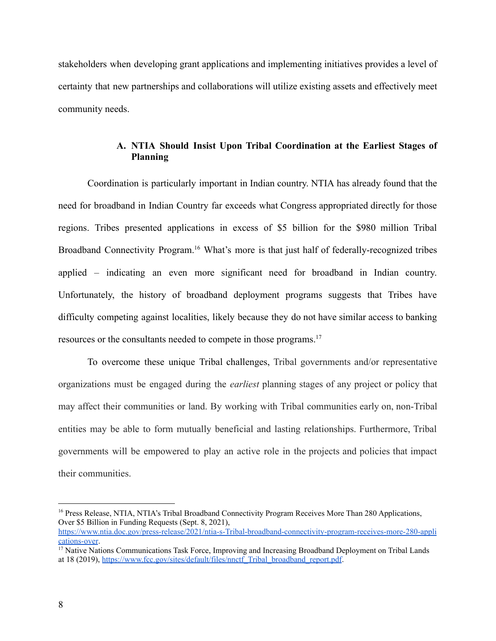stakeholders when developing grant applications and implementing initiatives provides a level of certainty that new partnerships and collaborations will utilize existing assets and effectively meet community needs.

## **A. NTIA Should Insist Upon Tribal Coordination at the Earliest Stages of Planning**

<span id="page-9-0"></span>Coordination is particularly important in Indian country. NTIA has already found that the need for broadband in Indian Country far exceeds what Congress appropriated directly for those regions. Tribes presented applications in excess of \$5 billion for the \$980 million Tribal Broadband Connectivity Program.<sup>16</sup> What's more is that just half of federally-recognized tribes applied – indicating an even more significant need for broadband in Indian country. Unfortunately, the history of broadband deployment programs suggests that Tribes have difficulty competing against localities, likely because they do not have similar access to banking resources or the consultants needed to compete in those programs.<sup>17</sup>

To overcome these unique Tribal challenges, Tribal governments and/or representative organizations must be engaged during the *earliest* planning stages of any project or policy that may affect their communities or land. By working with Tribal communities early on, non-Tribal entities may be able to form mutually beneficial and lasting relationships. Furthermore, Tribal governments will be empowered to play an active role in the projects and policies that impact their communities.

<sup>&</sup>lt;sup>16</sup> Press Release, NTIA, NTIA's Tribal Broadband Connectivity Program Receives More Than 280 Applications, Over \$5 Billion in Funding Requests (Sept. 8, 2021),

[https://www.ntia.doc.gov/press-release/2021/ntia-s-Tribal-broadband-connectivity-program-receives-more-280-appli](https://www.ntia.doc.gov/press-release/2021/ntia-s-tribal-broadband-connectivity-program-receives-more-280-applications-over) [cations-over](https://www.ntia.doc.gov/press-release/2021/ntia-s-tribal-broadband-connectivity-program-receives-more-280-applications-over).

<sup>&</sup>lt;sup>17</sup> Native Nations Communications Task Force, Improving and Increasing Broadband Deployment on Tribal Lands at 18 (2019), [https://www.fcc.gov/sites/default/files/nnctf\\_Tribal\\_broadband\\_report.pdf](https://www.fcc.gov/sites/default/files/nnctf_tribal_broadband_report.pdf).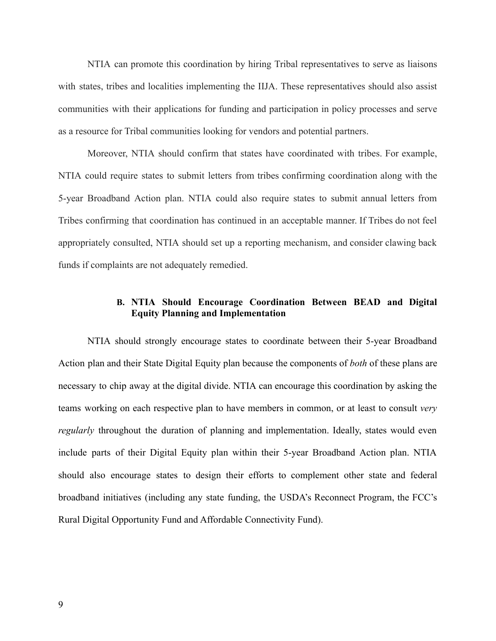NTIA can promote this coordination by hiring Tribal representatives to serve as liaisons with states, tribes and localities implementing the IIJA. These representatives should also assist communities with their applications for funding and participation in policy processes and serve as a resource for Tribal communities looking for vendors and potential partners.

Moreover, NTIA should confirm that states have coordinated with tribes. For example, NTIA could require states to submit letters from tribes confirming coordination along with the 5-year Broadband Action plan. NTIA could also require states to submit annual letters from Tribes confirming that coordination has continued in an acceptable manner. If Tribes do not feel appropriately consulted, NTIA should set up a reporting mechanism, and consider clawing back funds if complaints are not adequately remedied.

### **B. NTIA Should Encourage Coordination Between BEAD and Digital Equity Planning and Implementation**

<span id="page-10-0"></span>NTIA should strongly encourage states to coordinate between their 5-year Broadband Action plan and their State Digital Equity plan because the components of *both* of these plans are necessary to chip away at the digital divide. NTIA can encourage this coordination by asking the teams working on each respective plan to have members in common, or at least to consult *very regularly* throughout the duration of planning and implementation. Ideally, states would even include parts of their Digital Equity plan within their 5-year Broadband Action plan. NTIA should also encourage states to design their efforts to complement other state and federal broadband initiatives (including any state funding, the USDA's Reconnect Program, the FCC's Rural Digital Opportunity Fund and Affordable Connectivity Fund).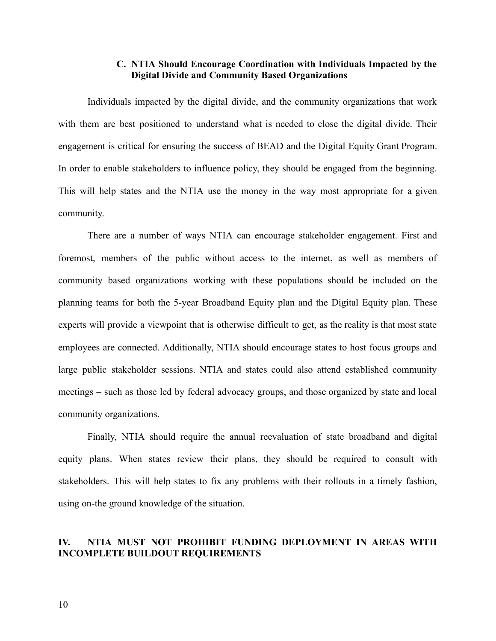### **C. NTIA Should Encourage Coordination with Individuals Impacted by the Digital Divide and Community Based Organizations**

<span id="page-11-0"></span>Individuals impacted by the digital divide, and the community organizations that work with them are best positioned to understand what is needed to close the digital divide. Their engagement is critical for ensuring the success of BEAD and the Digital Equity Grant Program. In order to enable stakeholders to influence policy, they should be engaged from the beginning. This will help states and the NTIA use the money in the way most appropriate for a given community.

There are a number of ways NTIA can encourage stakeholder engagement. First and foremost, members of the public without access to the internet, as well as members of community based organizations working with these populations should be included on the planning teams for both the 5-year Broadband Equity plan and the Digital Equity plan. These experts will provide a viewpoint that is otherwise difficult to get, as the reality is that most state employees are connected. Additionally, NTIA should encourage states to host focus groups and large public stakeholder sessions. NTIA and states could also attend established community meetings – such as those led by federal advocacy groups, and those organized by state and local community organizations.

Finally, NTIA should require the annual reevaluation of state broadband and digital equity plans. When states review their plans, they should be required to consult with stakeholders. This will help states to fix any problems with their rollouts in a timely fashion, using on-the ground knowledge of the situation.

### <span id="page-11-1"></span>**IV. NTIA MUST NOT PROHIBIT FUNDING DEPLOYMENT IN AREAS WITH INCOMPLETE BUILDOUT REQUIREMENTS**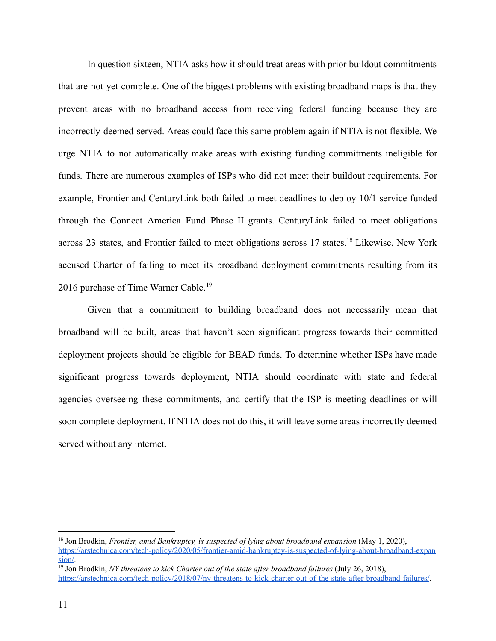In question sixteen, NTIA asks how it should treat areas with prior buildout commitments that are not yet complete. One of the biggest problems with existing broadband maps is that they prevent areas with no broadband access from receiving federal funding because they are incorrectly deemed served. Areas could face this same problem again if NTIA is not flexible. We urge NTIA to not automatically make areas with existing funding commitments ineligible for funds. There are numerous examples of ISPs who did not meet their buildout requirements. For example, Frontier and CenturyLink both failed to meet deadlines to deploy 10/1 service funded through the Connect America Fund Phase II grants. CenturyLink failed to meet obligations across 23 states, and Frontier failed to meet obligations across 17 states.<sup>18</sup> Likewise, New York accused Charter of failing to meet its broadband deployment commitments resulting from its 2016 purchase of Time Warner Cable.<sup>19</sup>

Given that a commitment to building broadband does not necessarily mean that broadband will be built, areas that haven't seen significant progress towards their committed deployment projects should be eligible for BEAD funds. To determine whether ISPs have made significant progress towards deployment, NTIA should coordinate with state and federal agencies overseeing these commitments, and certify that the ISP is meeting deadlines or will soon complete deployment. If NTIA does not do this, it will leave some areas incorrectly deemed served without any internet.

<sup>18</sup> Jon Brodkin, *Frontier, amid Bankruptcy, is suspected of lying about broadband expansion* (May 1, 2020), [https://arstechnica.com/tech-policy/2020/05/frontier-amid-bankruptcy-is-suspected-of-lying-about-broadband-expan](https://arstechnica.com/tech-policy/2020/05/frontier-amid-bankruptcy-is-suspected-of-lying-about-broadband-expansion/) [sion/](https://arstechnica.com/tech-policy/2020/05/frontier-amid-bankruptcy-is-suspected-of-lying-about-broadband-expansion/).

<sup>19</sup> Jon Brodkin, *NY threatens to kick Charter out of the state after broadband failures* (July 26, 2018), <https://arstechnica.com/tech-policy/2018/07/ny-threatens-to-kick-charter-out-of-the-state-after-broadband-failures/>.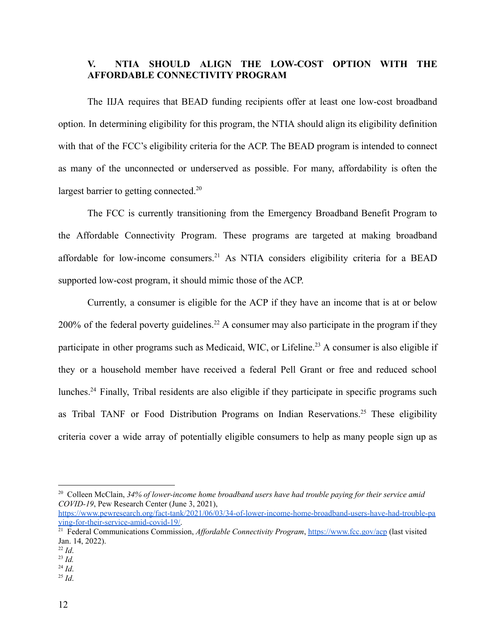## **V. NTIA SHOULD ALIGN THE LOW-COST OPTION WITH THE AFFORDABLE CONNECTIVITY PROGRAM**

<span id="page-13-0"></span>The IIJA requires that BEAD funding recipients offer at least one low-cost broadband option. In determining eligibility for this program, the NTIA should align its eligibility definition with that of the FCC's eligibility criteria for the ACP. The BEAD program is intended to connect as many of the unconnected or underserved as possible. For many, affordability is often the largest barrier to getting connected.<sup>20</sup>

The FCC is currently transitioning from the Emergency Broadband Benefit Program to the Affordable Connectivity Program. These programs are targeted at making broadband affordable for low-income consumers.<sup>21</sup> As NTIA considers eligibility criteria for a BEAD supported low-cost program, it should mimic those of the ACP.

Currently, a consumer is eligible for the ACP if they have an income that is at or below  $200\%$  of the federal poverty guidelines.<sup>22</sup> A consumer may also participate in the program if they participate in other programs such as Medicaid, WIC, or Lifeline.<sup>23</sup> A consumer is also eligible if they or a household member have received a federal Pell Grant or free and reduced school lunches.<sup>24</sup> Finally, Tribal residents are also eligible if they participate in specific programs such as Tribal TANF or Food Distribution Programs on Indian Reservations.<sup>25</sup> These eligibility criteria cover a wide array of potentially eligible consumers to help as many people sign up as

<sup>20</sup> Colleen McClain, *34% of lower-income home broadband users have had trouble paying for their service amid COVID-19*, Pew Research Center (June 3, 2021),

[https://www.pewresearch.org/fact-tank/2021/06/03/34-of-lower-income-home-broadband-users-have-had-trouble-pa](https://www.pewresearch.org/fact-tank/2021/06/03/34-of-lower-income-home-broadband-users-have-had-trouble-paying-for-their-service-amid-covid-19/) [ying-for-their-service-amid-covid-19/.](https://www.pewresearch.org/fact-tank/2021/06/03/34-of-lower-income-home-broadband-users-have-had-trouble-paying-for-their-service-amid-covid-19/)

<sup>&</sup>lt;sup>21</sup> Federal Communications Commission, *Affordable Connectivity Program*, <https://www.fcc.gov/acp> (last visited Jan. 14, 2022).

<sup>23</sup> *Id.* <sup>22</sup> *Id*.

 $^{24}$  *Id.* 

 $^{25}$  *Id.*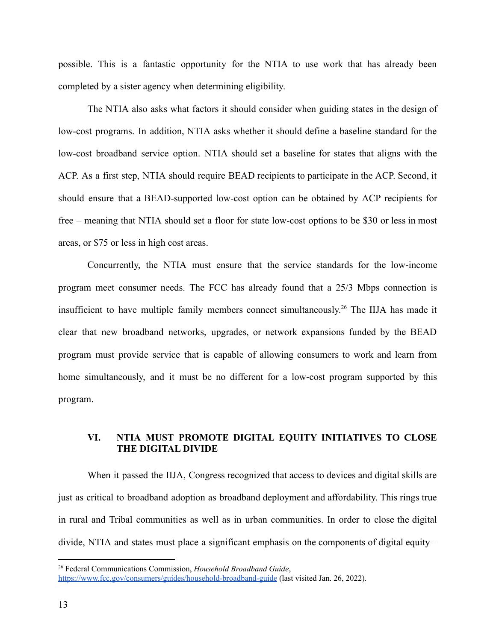possible. This is a fantastic opportunity for the NTIA to use work that has already been completed by a sister agency when determining eligibility.

The NTIA also asks what factors it should consider when guiding states in the design of low-cost programs. In addition, NTIA asks whether it should define a baseline standard for the low-cost broadband service option. NTIA should set a baseline for states that aligns with the ACP. As a first step, NTIA should require BEAD recipients to participate in the ACP. Second, it should ensure that a BEAD-supported low-cost option can be obtained by ACP recipients for free – meaning that NTIA should set a floor for state low-cost options to be \$30 or less in most areas, or \$75 or less in high cost areas.

Concurrently, the NTIA must ensure that the service standards for the low-income program meet consumer needs. The FCC has already found that a 25/3 Mbps connection is insufficient to have multiple family members connect simultaneously. <sup>26</sup> The IIJA has made it clear that new broadband networks, upgrades, or network expansions funded by the BEAD program must provide service that is capable of allowing consumers to work and learn from home simultaneously, and it must be no different for a low-cost program supported by this program.

## **VI. NTIA MUST PROMOTE DIGITAL EQUITY INITIATIVES TO CLOSE THE DIGITAL DIVIDE**

<span id="page-14-0"></span>When it passed the IIJA, Congress recognized that access to devices and digital skills are just as critical to broadband adoption as broadband deployment and affordability. This rings true in rural and Tribal communities as well as in urban communities. In order to close the digital divide, NTIA and states must place a significant emphasis on the components of digital equity –

<sup>26</sup> Federal Communications Commission, *Household Broadband Guide*,

<https://www.fcc.gov/consumers/guides/household-broadband-guide> (last visited Jan. 26, 2022).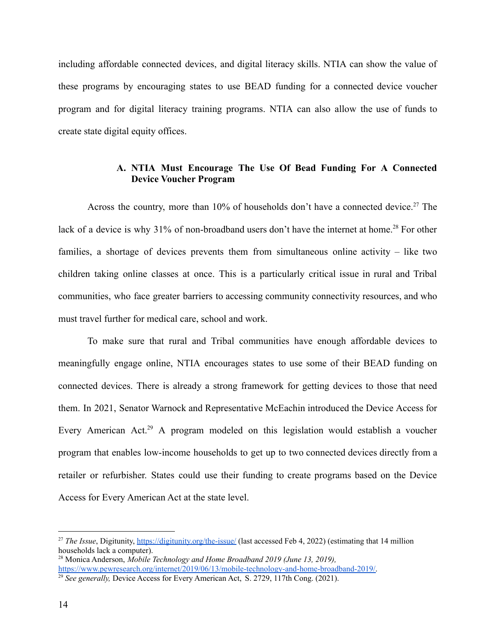including affordable connected devices, and digital literacy skills. NTIA can show the value of these programs by encouraging states to use BEAD funding for a connected device voucher program and for digital literacy training programs. NTIA can also allow the use of funds to create state digital equity offices.

## **A. NTIA Must Encourage The Use Of Bead Funding For A Connected Device Voucher Program**

<span id="page-15-0"></span>Across the country, more than 10% of households don't have a connected device.<sup>27</sup> The lack of a device is why 31% of non-broadband users don't have the internet at home.<sup>28</sup> For other families, a shortage of devices prevents them from simultaneous online activity – like two children taking online classes at once. This is a particularly critical issue in rural and Tribal communities, who face greater barriers to accessing community connectivity resources, and who must travel further for medical care, school and work.

To make sure that rural and Tribal communities have enough affordable devices to meaningfully engage online, NTIA encourages states to use some of their BEAD funding on connected devices. There is already a strong framework for getting devices to those that need them. In 2021, Senator Warnock and Representative McEachin introduced the Device Access for Every American Act.<sup>29</sup> A program modeled on this legislation would establish a voucher program that enables low-income households to get up to two connected devices directly from a retailer or refurbisher. States could use their funding to create programs based on the Device Access for Every American Act at the state level.

<sup>&</sup>lt;sup>27</sup> *The Issue*, Digitunity, <https://digitunity.org/the-issue/> (last accessed Feb 4, 2022) (estimating that 14 million households lack a computer).

<sup>28</sup> Monica Anderson, *Mobile Technology and Home Broadband 2019 (June 13, 2019),* [https://www.pewresearch.org/internet/2019/06/13/mobile-technology-and-home-broadband-2019/.](https://www.pewresearch.org/internet/2019/06/13/mobile-technology-and-home-broadband-2019/)

<sup>29</sup> *See generally,* Device Access for Every American Act, S. 2729, 117th Cong. (2021).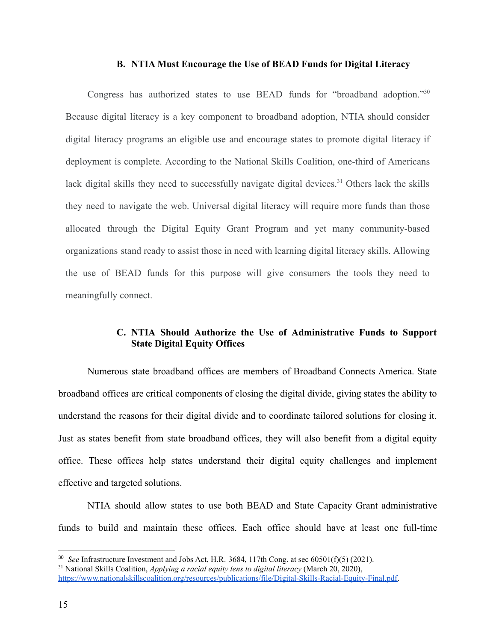#### **B. NTIA Must Encourage the Use of BEAD Funds for Digital Literacy**

<span id="page-16-0"></span>Congress has authorized states to use BEAD funds for "broadband adoption."<sup>30</sup> Because digital literacy is a key component to broadband adoption, NTIA should consider digital literacy programs an eligible use and encourage states to promote digital literacy if deployment is complete. According to the National Skills Coalition, one-third of Americans lack digital skills they need to successfully navigate digital devices.<sup>31</sup> Others lack the skills they need to navigate the web. Universal digital literacy will require more funds than those allocated through the Digital Equity Grant Program and yet many community-based organizations stand ready to assist those in need with learning digital literacy skills. Allowing the use of BEAD funds for this purpose will give consumers the tools they need to meaningfully connect.

### **C. NTIA Should Authorize the Use of Administrative Funds to Support State Digital Equity Offices**

<span id="page-16-1"></span>Numerous state broadband offices are members of Broadband Connects America. State broadband offices are critical components of closing the digital divide, giving states the ability to understand the reasons for their digital divide and to coordinate tailored solutions for closing it. Just as states benefit from state broadband offices, they will also benefit from a digital equity office. These offices help states understand their digital equity challenges and implement effective and targeted solutions.

NTIA should allow states to use both BEAD and State Capacity Grant administrative funds to build and maintain these offices. Each office should have at least one full-time

<sup>30</sup> *See* Infrastructure Investment and Jobs Act, H.R. 3684, 117th Cong. at sec 60501(f)(5) (2021).

<sup>31</sup> National Skills Coalition, *Applying a racial equity lens to digital literacy* (March 20, 2020),

[https://www.nationalskillscoalition.org/resources/publications/file/Digital-Skills-Racial-Equity-Final.pdf.](https://www.nationalskillscoalition.org/resources/publications/file/Digital-Skills-Racial-Equity-Final.pdf)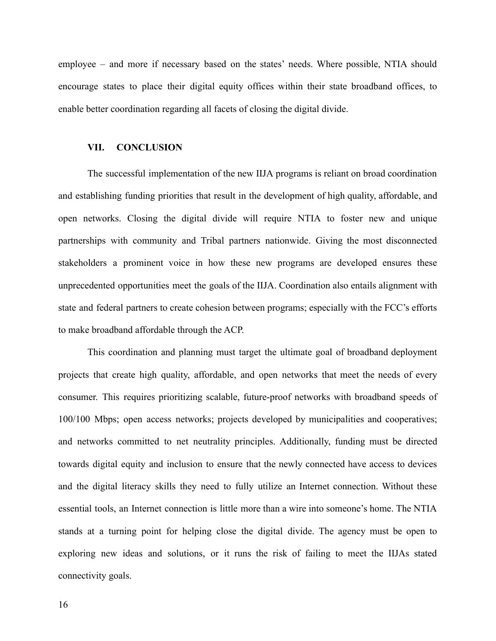employee – and more if necessary based on the states' needs. Where possible, NTIA should encourage states to place their digital equity offices within their state broadband offices, to enable better coordination regarding all facets of closing the digital divide.

#### <span id="page-17-0"></span>**VII. CONCLUSION**

The successful implementation of the new IIJA programs is reliant on broad coordination and establishing funding priorities that result in the development of high quality, affordable, and open networks. Closing the digital divide will require NTIA to foster new and unique partnerships with community and Tribal partners nationwide. Giving the most disconnected stakeholders a prominent voice in how these new programs are developed ensures these unprecedented opportunities meet the goals of the IIJA. Coordination also entails alignment with state and federal partners to create cohesion between programs; especially with the FCC's efforts to make broadband affordable through the ACP.

This coordination and planning must target the ultimate goal of broadband deployment projects that create high quality, affordable, and open networks that meet the needs of every consumer. This requires prioritizing scalable, future-proof networks with broadband speeds of 100/100 Mbps; open access networks; projects developed by municipalities and cooperatives; and networks committed to net neutrality principles. Additionally, funding must be directed towards digital equity and inclusion to ensure that the newly connected have access to devices and the digital literacy skills they need to fully utilize an Internet connection. Without these essential tools, an Internet connection is little more than a wire into someone's home. The NTIA stands at a turning point for helping close the digital divide. The agency must be open to exploring new ideas and solutions, or it runs the risk of failing to meet the IIJAs stated connectivity goals.